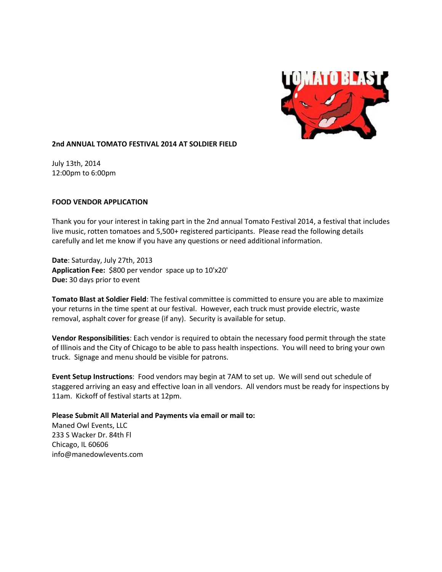

### **2nd ANNUAL TOMATO FESTIVAL 2014 AT SOLDIER FIELD**

July 13th, 2014 12:00pm to 6:00pm

### **FOOD VENDOR APPLICATION**

Thank you for your interest in taking part in the 2nd annual Tomato Festival 2014, a festival that includes live music, rotten tomatoes and 5,500+ registered participants. Please read the following details carefully and let me know if you have any questions or need additional information.

**Date**: Saturday, July 27th, 2013 **Application Fee:** \$800 per vendor space up to 10'x20' **Due:** 30 days prior to event

**Tomato Blast at Soldier Field**: The festival committee is committed to ensure you are able to maximize your returns in the time spent at our festival. However, each truck must provide electric, waste removal, asphalt cover for grease (if any). Security is available for setup.

**Vendor Responsibilities**: Each vendor is required to obtain the necessary food permit through the state of Illinois and the City of Chicago to be able to pass health inspections. You will need to bring your own truck. Signage and menu should be visible for patrons.

**Event Setup Instructions**: Food vendors may begin at 7AM to set up. We will send out schedule of staggered arriving an easy and effective loan in all vendors. All vendors must be ready for inspections by 11am. Kickoff of festival starts at 12pm.

## **Please Submit All Material and Payments via email or mail to:**

Maned Owl Events, LLC 233 S Wacker Dr. 84th Fl Chicago, IL 60606 info@manedowlevents.com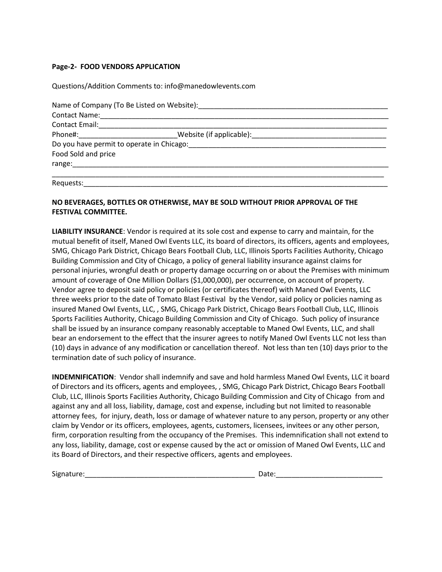### **Page-2- FOOD VENDORS APPLICATION**

Questions/Addition Comments to: info@manedowlevents.com

|                                                                                                                                                                                                                                | Name of Company (To Be Listed on Website): |  |
|--------------------------------------------------------------------------------------------------------------------------------------------------------------------------------------------------------------------------------|--------------------------------------------|--|
|                                                                                                                                                                                                                                |                                            |  |
| Contact Email: 2008. 2010. 2010. 2010. 2010. 2010. 2010. 2010. 2010. 2010. 2010. 2010. 2010. 2010. 2010. 2010                                                                                                                  |                                            |  |
|                                                                                                                                                                                                                                | Phone#: Website (if applicable):           |  |
|                                                                                                                                                                                                                                |                                            |  |
| Food Sold and price                                                                                                                                                                                                            |                                            |  |
| range: the contract of the contract of the contract of the contract of the contract of the contract of the contract of the contract of the contract of the contract of the contract of the contract of the contract of the con |                                            |  |
|                                                                                                                                                                                                                                |                                            |  |
| Requests:                                                                                                                                                                                                                      |                                            |  |

# **NO BEVERAGES, BOTTLES OR OTHERWISE, MAY BE SOLD WITHOUT PRIOR APPROVAL OF THE FESTIVAL COMMITTEE.**

**LIABILITY INSURANCE**: Vendor is required at its sole cost and expense to carry and maintain, for the mutual benefit of itself, Maned Owl Events LLC, its board of directors, its officers, agents and employees, SMG, Chicago Park District, Chicago Bears Football Club, LLC, Illinois Sports Facilities Authority, Chicago Building Commission and City of Chicago, a policy of general liability insurance against claims for personal injuries, wrongful death or property damage occurring on or about the Premises with minimum amount of coverage of One Million Dollars (\$1,000,000), per occurrence, on account of property. Vendor agree to deposit said policy or policies (or certificates thereof) with Maned Owl Events, LLC three weeks prior to the date of Tomato Blast Festival by the Vendor, said policy or policies naming as insured Maned Owl Events, LLC, , SMG, Chicago Park District, Chicago Bears Football Club, LLC, Illinois Sports Facilities Authority, Chicago Building Commission and City of Chicago. Such policy of insurance shall be issued by an insurance company reasonably acceptable to Maned Owl Events, LLC, and shall bear an endorsement to the effect that the insurer agrees to notify Maned Owl Events LLC not less than (10) days in advance of any modification or cancellation thereof. Not less than ten (10) days prior to the termination date of such policy of insurance.

**INDEMNIFICATION**: Vendor shall indemnify and save and hold harmless Maned Owl Events, LLC it board of Directors and its officers, agents and employees, , SMG, Chicago Park District, Chicago Bears Football Club, LLC, Illinois Sports Facilities Authority, Chicago Building Commission and City of Chicago from and against any and all loss, liability, damage, cost and expense, including but not limited to reasonable attorney fees, for injury, death, loss or damage of whatever nature to any person, property or any other claim by Vendor or its officers, employees, agents, customers, licensees, invitees or any other person, firm, corporation resulting from the occupancy of the Premises. This indemnification shall not extend to any loss, liability, damage, cost or expense caused by the act or omission of Maned Owl Events, LLC and its Board of Directors, and their respective officers, agents and employees.

Signature:\_\_\_\_\_\_\_\_\_\_\_\_\_\_\_\_\_\_\_\_\_\_\_\_\_\_\_\_\_\_\_\_\_\_\_\_\_\_\_\_\_\_\_ Date:\_\_\_\_\_\_\_\_\_\_\_\_\_\_\_\_\_\_\_\_\_\_\_\_\_\_\_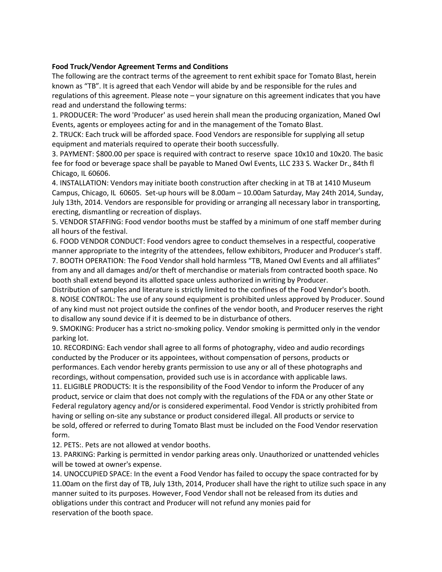## **Food Truck/Vendor Agreement Terms and Conditions**

The following are the contract terms of the agreement to rent exhibit space for Tomato Blast, herein known as "TB". It is agreed that each Vendor will abide by and be responsible for the rules and regulations of this agreement. Please note – your signature on this agreement indicates that you have read and understand the following terms:

1. PRODUCER: The word 'Producer' as used herein shall mean the producing organization, Maned Owl Events, agents or employees acting for and in the management of the Tomato Blast.

2. TRUCK: Each truck will be afforded space. Food Vendors are responsible for supplying all setup equipment and materials required to operate their booth successfully.

3. PAYMENT: \$800.00 per space is required with contract to reserve space 10x10 and 10x20. The basic fee for food or beverage space shall be payable to Maned Owl Events, LLC 233 S. Wacker Dr., 84th fl Chicago, IL 60606.

4. INSTALLATION: Vendors may initiate booth construction after checking in at TB at 1410 Museum Campus, Chicago, IL 60605. Set-up hours will be 8.00am – 10.00am Saturday, May 24th 2014, Sunday, July 13th, 2014. Vendors are responsible for providing or arranging all necessary labor in transporting, erecting, dismantling or recreation of displays.

5. VENDOR STAFFING: Food vendor booths must be staffed by a minimum of one staff member during all hours of the festival.

6. FOOD VENDOR CONDUCT: Food vendors agree to conduct themselves in a respectful, cooperative manner appropriate to the integrity of the attendees, fellow exhibitors, Producer and Producer's staff. 7. BOOTH OPERATION: The Food Vendor shall hold harmless "TB, Maned Owl Events and all affiliates" from any and all damages and/or theft of merchandise or materials from contracted booth space. No booth shall extend beyond its allotted space unless authorized in writing by Producer.

Distribution of samples and literature is strictly limited to the confines of the Food Vendor's booth. 8. NOISE CONTROL: The use of any sound equipment is prohibited unless approved by Producer. Sound of any kind must not project outside the confines of the vendor booth, and Producer reserves the right to disallow any sound device if it is deemed to be in disturbance of others.

9. SMOKING: Producer has a strict no-smoking policy. Vendor smoking is permitted only in the vendor parking lot.

10. RECORDING: Each vendor shall agree to all forms of photography, video and audio recordings conducted by the Producer or its appointees, without compensation of persons, products or performances. Each vendor hereby grants permission to use any or all of these photographs and recordings, without compensation, provided such use is in accordance with applicable laws.

11. ELIGIBLE PRODUCTS: It is the responsibility of the Food Vendor to inform the Producer of any product, service or claim that does not comply with the regulations of the FDA or any other State or Federal regulatory agency and/or is considered experimental. Food Vendor is strictly prohibited from having or selling on-site any substance or product considered illegal. All products or service to be sold, offered or referred to during Tomato Blast must be included on the Food Vendor reservation form.

12. PETS:. Pets are not allowed at vendor booths.

13. PARKING: Parking is permitted in vendor parking areas only. Unauthorized or unattended vehicles will be towed at owner's expense.

14. UNOCCUPIED SPACE: In the event a Food Vendor has failed to occupy the space contracted for by 11.00am on the first day of TB, July 13th, 2014, Producer shall have the right to utilize such space in any manner suited to its purposes. However, Food Vendor shall not be released from its duties and obligations under this contract and Producer will not refund any monies paid for reservation of the booth space.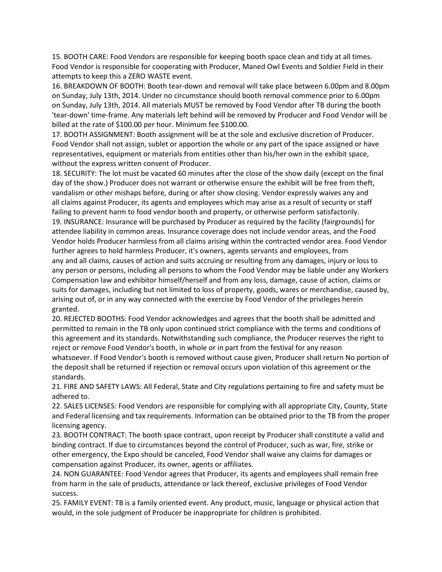15. BOOTH CARE: Food Vendors are responsible for keeping booth space clean and tidy at all times. Food Vendor is responsible for cooperating with Producer, Maned Owl Events and Soldier Field in their attempts to keep this a ZERO WASTE event.

16. BREAKDOWN OF BOOTH: Booth tear-down and removal will take place between 6.00pm and 8.00pm on Sunday, July 13th, 2014. Under no circumstance should booth removal commence prior to 6.00pm on Sunday, July 13th, 2014. All materials MUST be removed by Food Vendor after TB during the booth 'tear-down' time-frame. Any materials left behind will be removed by Producer and Food Vendor will be billed at the rate of \$100.00 per hour. Minimum fee \$100.00.

17. BOOTH ASSIGNMENT: Booth assignment will be at the sole and exclusive discretion of Producer. Food Vendor shall not assign, sublet or apportion the whole or any part of the space assigned or have representatives, equipment or materials from entities other than his/her own in the exhibit space, without the express written consent of Producer.

18. SECURITY: The lot must be vacated 60 minutes after the close of the show daily (except on the final day of the show.) Producer does not warrant or otherwise ensure the exhibit will be free from theft, vandalism or other mishaps before, during or after show closing. Vendor expressly waives any and all claims against Producer, its agents and employees which may arise as a result of security or staff failing to prevent harm to food vendor booth and property, or otherwise perform satisfactorily. 19. INSURANCE: Insurance will be purchased by Producer as required by the facility (fairgrounds) for attendee liability in common areas. Insurance coverage does not include vendor areas, and the Food Vendor holds Producer harmless from all claims arising within the contracted vendor area. Food Vendor further agrees to hold harmless Producer, it's owners, agents servants and employees, from any and all claims, causes of action and suits accruing or resulting from any damages, injury or loss to any person or persons, including all persons to whom the Food Vendor may be liable under any Workers Compensation law and exhibitor himself/herself and from any loss, damage, cause of action, claims or suits for damages, including but not limited to loss of property, goods, wares or merchandise, caused by, arising out of, or in any way connected with the exercise by Food Vendor of the privileges herein granted.

20. REJECTED BOOTHS: Food Vendor acknowledges and agrees that the booth shall be admitted and permitted to remain in the TB only upon continued strict compliance with the terms and conditions of this agreement and its standards. Notwithstanding such compliance, the Producer reserves the right to reject or remove Food Vendor's booth, in whole or in part from the festival for any reason whatsoever. If Food Vendor's booth is removed without cause given, Producer shall return No portion of the deposit shall be returned if rejection or removal occurs upon violation of this agreement or the standards.

21. FIRE AND SAFETY LAWS: All Federal, State and City regulations pertaining to fire and safety must be adhered to.

22. SALES LICENSES: Food Vendors are responsible for complying with all appropriate City, County, State and Federal licensing and tax requirements. Information can be obtained prior to the TB from the proper licensing agency.

23. BOOTH CONTRACT: The booth space contract, upon receipt by Producer shall constitute a valid and binding contract. If due to circumstances beyond the control of Producer, such as war, fire, strike or other emergency, the Expo should be canceled, Food Vendor shall waive any claims for damages or compensation against Producer, its owner, agents or affiliates.

24. NON GUARANTEE: Food Vendor agrees that Producer, its agents and employees shall remain free from harm in the sale of products, attendance or lack thereof, exclusive privileges of Food Vendor success.

25. FAMILY EVENT: TB is a family oriented event. Any product, music, language or physical action that would, in the sole judgment of Producer be inappropriate for children is prohibited.